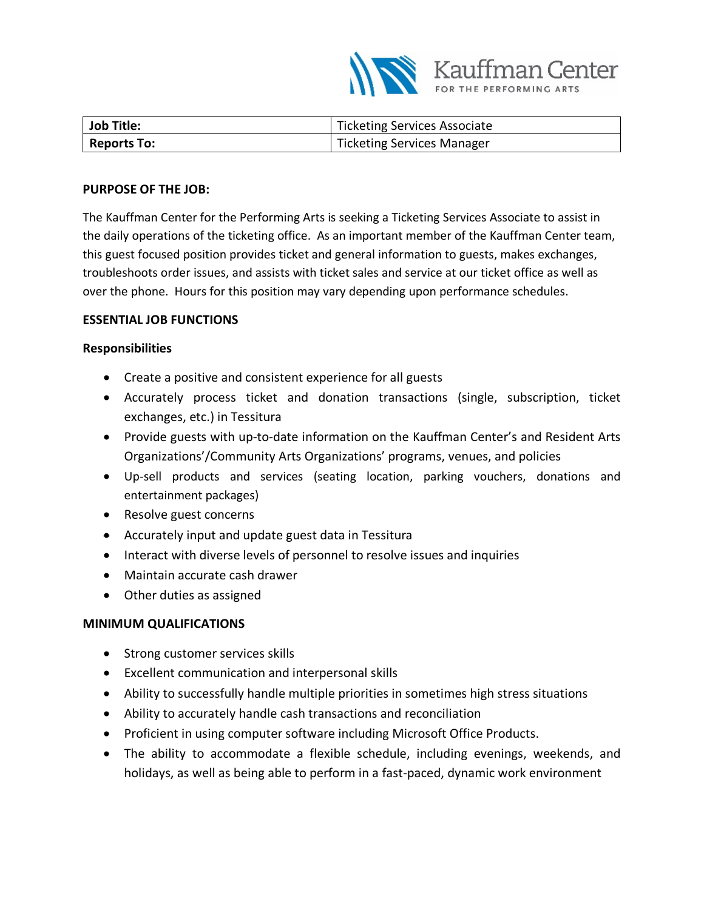

| Job Title:         | <b>Ticketing Services Associate</b> |  |
|--------------------|-------------------------------------|--|
| <b>Reports To:</b> | <b>Ticketing Services Manager</b>   |  |

### **PURPOSE OF THE JOB:**

The Kauffman Center for the Performing Arts is seeking a Ticketing Services Associate to assist in the daily operations of the ticketing office. As an important member of the Kauffman Center team, this guest focused position provides ticket and general information to guests, makes exchanges, troubleshoots order issues, and assists with ticket sales and service at our ticket office as well as over the phone. Hours for this position may vary depending upon performance schedules.

### **ESSENTIAL JOB FUNCTIONS**

### **Responsibilities**

- Create a positive and consistent experience for all guests
- Accurately process ticket and donation transactions (single, subscription, ticket exchanges, etc.) in Tessitura
- Provide guests with up-to-date information on the Kauffman Center's and Resident Arts Organizations'/Community Arts Organizations' programs, venues, and policies
- Up-sell products and services (seating location, parking vouchers, donations and entertainment packages)
- Resolve guest concerns
- Accurately input and update guest data in Tessitura
- Interact with diverse levels of personnel to resolve issues and inquiries
- Maintain accurate cash drawer
- Other duties as assigned

## **MINIMUM QUALIFICATIONS**

- Strong customer services skills
- Excellent communication and interpersonal skills
- Ability to successfully handle multiple priorities in sometimes high stress situations
- Ability to accurately handle cash transactions and reconciliation
- Proficient in using computer software including Microsoft Office Products.
- The ability to accommodate a flexible schedule, including evenings, weekends, and holidays, as well as being able to perform in a fast-paced, dynamic work environment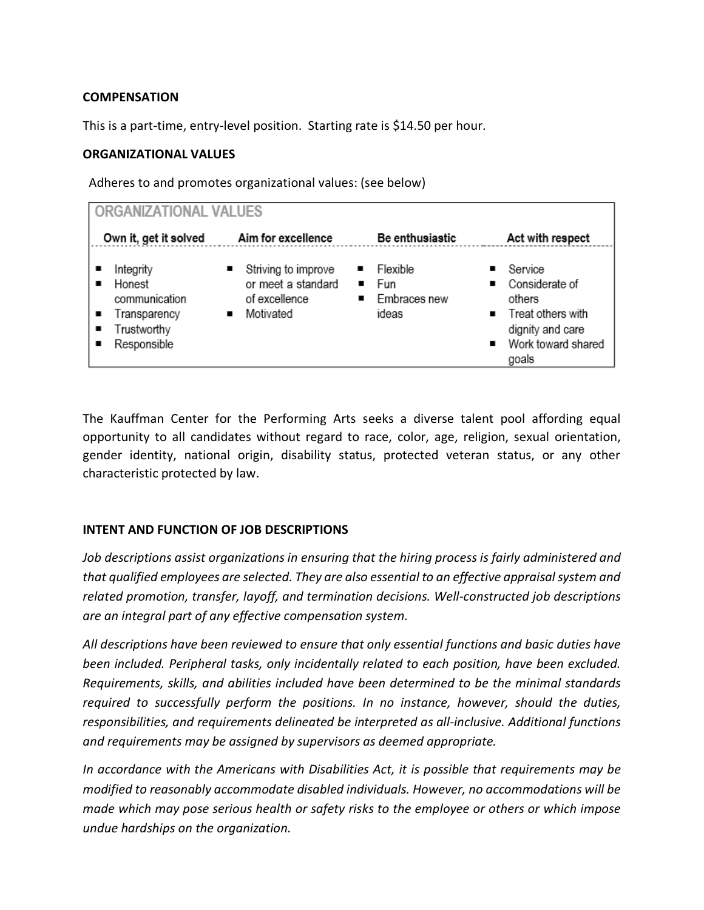# **COMPENSATION**

This is a part-time, entry-level position. Starting rate is \$14.50 per hour.

## **ORGANIZATIONAL VALUES**

Adheres to and promotes organizational values: (see below)

| I ORGANIZATIONAL VALUES                                                            |                                                                         |                                                            |                                                                                                               |  |
|------------------------------------------------------------------------------------|-------------------------------------------------------------------------|------------------------------------------------------------|---------------------------------------------------------------------------------------------------------------|--|
| Own it, get it solved                                                              | Aim for excellence                                                      | Be enthusiastic                                            | Act with respect                                                                                              |  |
| Integrity<br>Honest<br>communication<br>Transparency<br>Trustworthy<br>Responsible | Striving to improve<br>or meet a standard<br>of excellence<br>Motivated | Flexible<br>Fun<br>$\blacksquare$<br>Embraces new<br>ideas | Service<br>Considerate of<br>others<br>■ Treat others with<br>dignity and care<br>Work toward shared<br>goals |  |

The Kauffman Center for the Performing Arts seeks a diverse talent pool affording equal opportunity to all candidates without regard to race, color, age, religion, sexual orientation, gender identity, national origin, disability status, protected veteran status, or any other characteristic protected by law.

## **INTENT AND FUNCTION OF JOB DESCRIPTIONS**

*Job descriptions assist organizations in ensuring that the hiring process is fairly administered and that qualified employees are selected. They are also essential to an effective appraisal system and related promotion, transfer, layoff, and termination decisions. Well-constructed job descriptions are an integral part of any effective compensation system.*

*All descriptions have been reviewed to ensure that only essential functions and basic duties have been included. Peripheral tasks, only incidentally related to each position, have been excluded. Requirements, skills, and abilities included have been determined to be the minimal standards required to successfully perform the positions. In no instance, however, should the duties, responsibilities, and requirements delineated be interpreted as all-inclusive. Additional functions and requirements may be assigned by supervisors as deemed appropriate.* 

*In accordance with the Americans with Disabilities Act, it is possible that requirements may be modified to reasonably accommodate disabled individuals. However, no accommodations will be made which may pose serious health or safety risks to the employee or others or which impose undue hardships on the organization.*